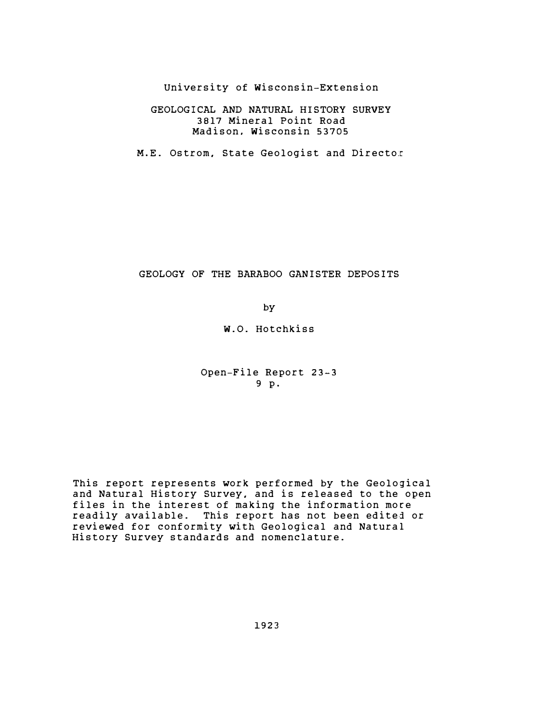University of Wisconsin-Extension

## GEOLOGICAL AND NATURAL HISTORY SURVEY 3817 Mineral Point Road Madison, Wisconsin 53705

M.E. Ostrom, State Geologist and Director

## GEOLOGY OF THE BARABOO GANISTER DEPOSITS

by

W.O. Hotchkiss

Open-File Report 23-3 9 p.

This report represents work performed by the Geological and Natural History Survey, and is released to the open files in the interest of making the information more readily available. This report has not been edited or reviewed for conformity with Geological and Natural History Survey standards and nomenclature.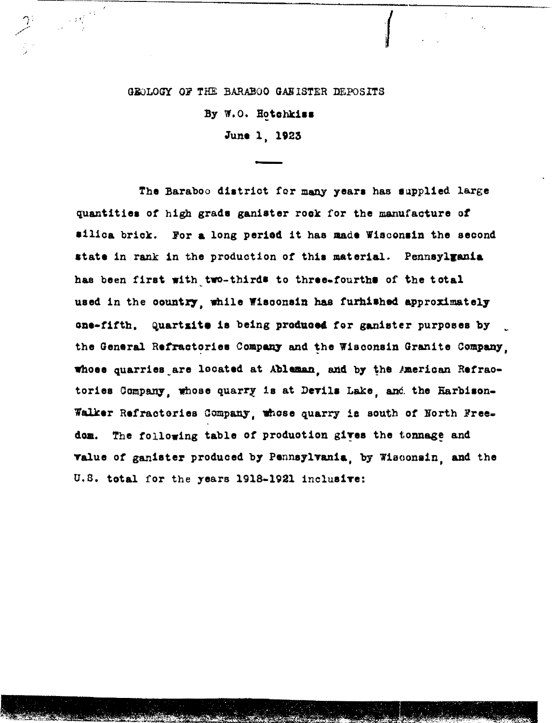## GEOLOGY OF THE BARABOO GANISTER DEPOSITS

 $\mathcal{I}^{\mathcal{I}}=\mathbb{R}^{|\mathcal{M}_{\mathcal{I}}^{(k)}|}$ 

By W.O. Hotchkiss June 1, 1923

The Baraboo district for many years has supplied large quantities of high grads ganister rock for the manufacture of silica brick. For a long period it has made Wisconsin the second state in rank in the production of this material. Pennsylgania has been first with two-thirds to three-fourths of the total used in the country, while Wisconsin has furnished approximately one-fifth. Quartzite is being produced for ganister purposes by the General Refractories Company and the Wisconsin Granite Company. whose quarries are located at Ableman, and by the American Refractories Company, whose quarry is at Devils Lake, and the Harbison-Walker Refractories Company, whose quarry is south of North Freedom. The following table of production gives the tonnage and value of ganister produced by Pennsylvania, by Wisconsin, and the U.S. total for the years 1918-1921 inclusive: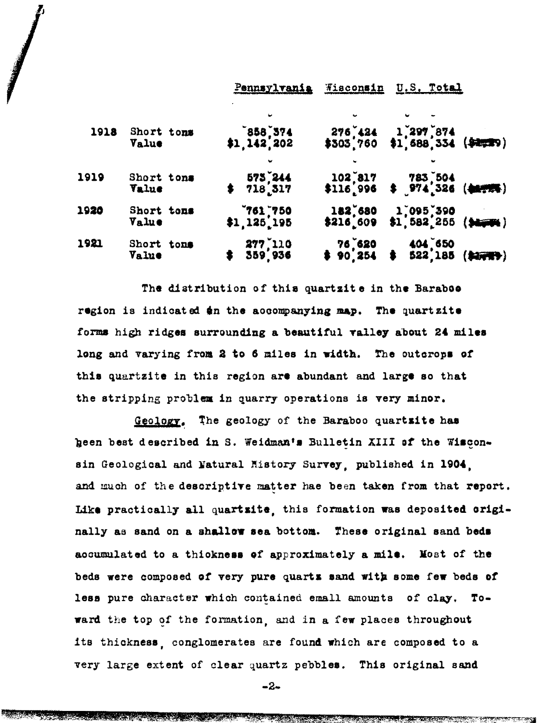|      |                     | Pennsylvania                        | Wisconsin | U.S. Total                                                                 |
|------|---------------------|-------------------------------------|-----------|----------------------------------------------------------------------------|
| 1918 | Short tons<br>Value | ÷<br>$858$ , $374$<br>\$1, 142, 202 |           | $276^{*}424$ 1 297 874<br>\$303 760 \$1,688 334 (\$2,29)                   |
| 1919 | Short tons<br>Value | $575$ , 244<br>$$718$ , 317         |           | $102$ , 817 783, 504<br>\$116, 996 \$ 974, 326 (40.72%)                    |
| 1920 | Short tons<br>Value | $761,750$<br>\$1,125,195            | \$216,609 | 182,680 1,095,390<br>}216_609 \$1,582,255 (\$4,000)                        |
| 1921 | Short tons<br>Value | 277 110<br>359 936 \$               |           | $76°620$ 404 <sup><math>^°</math>650<br/>\$ 90.254 \$ 522,185 (\$27)</sup> |

The distribution of this quartzite in the Barabos region is indicated an the accompanying map. The quartzite forms high ridges surrounding a beautiful valley about 24 miles long and varying from 2 to 6 miles in width. The outcrops of this quartzite in this region are abundant and large so that the stripping problem in quarry operations is very minor.

Geology. The geology of the Baraboo quartsite has geen best described in S. Weidman's Bulletin XIII of the Wisconsin Geological and Natural Mistory Survey, published in 1904, and much of the descriptive matter hae been taken from that report. Like practically all quartsite, this formation was deposited criginally as sand on a shallow sea bottom. These original sand beds accumulated to a thickness of approximately a mile. Most of the beds were composed of very pure quarts sand with some few beds of less pure character which contained emall amounts of clay. Toward the top of the formation, and in a few places throughout its thickness, conglomerates are found which are composed to a very large extent of clear quartz pebbles. This original sand

 $-2-$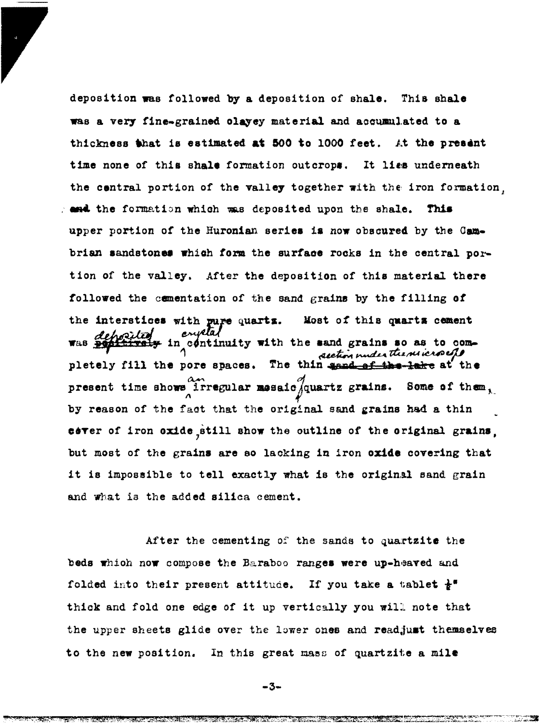deposition was followed by a deposition of shale. This shale was a very fine-grained olayey material and accumulated to a thickness that is estimated at 500 to 1000 feet. At the present time none of this shale formation outcrops. It lies underneath the contral portion of the valley together with the iron formation. and the formation which was deposited upon the shale. This upper portion of the Huronian series is now obscured by the Cambrian sandstones which form the surface rocks in the central portion of the valley. After the deposition of this material there followed the comentation of the sand grains by the filling of the interstices with pure quartz. Most of this quarts cement deposite  $*$  in continuity with the sand grains so as to com-WAS PO section under the microefs pletely fill the pore spaces. The thin send of the lake at the present time shows irregular mesaic quartz grains. Some of them, by reason of the fact that the original sand grains had a thin cover of iron oxide still show the outline of the original grains. but most of the grains are so lacking in iron oxide covering that it is impossible to tell exactly what is the original sand grain and what is the added silica cement.

After the cementing of the sands to quartzite the beds which now compose the Baraboo ranges were up-heaved and folded into their present attitude. If you take a tablet  $*^{\mathsf{F}}$ thick and fold one edge of it up vertically you will note that the upper sheets glide over the lower ones and readjust themselves to the new position. In this great mass of quartzite a mile

 $-3-$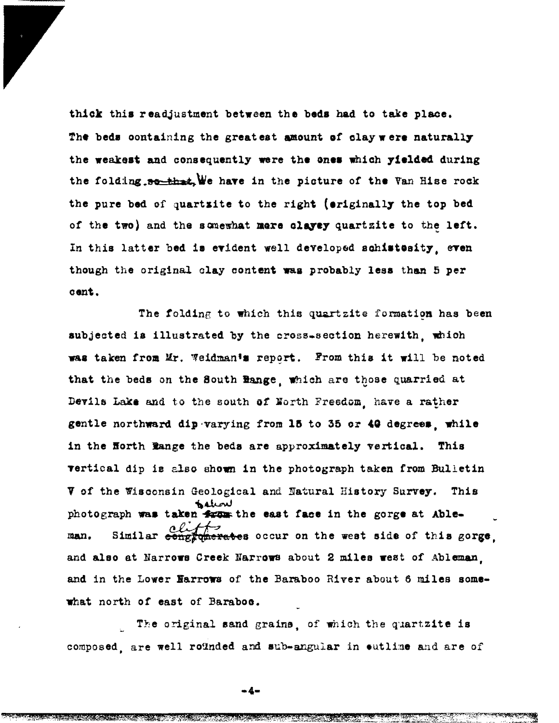thick this readjustment between the beds had to take place. The beds containing the greatest amount of clay were naturally the weakest and consequently were the ones which yielded during the folding  $\frac{1}{2}$  . We have in the picture of the Van Hise rock the pure bed of quartzite to the right (originally the top bed of the two) and the somewhat mere clayey quartzite to the left. In this latter bed is evident well developed schistesity, even though the original clay content was probably lesa than 5 per cent.

The folding to which this quartzite formation has been aubJeoted ia i llustrated by the oross-section herewIth , whioh was taken from Mr. Weidman's report. From this it will be noted that the beds on the South Bange, which are those quarried at Devils Lake and to the south of North Freedom, have a rather gentle northward dip varying from 15 to 35 or 49 degrees, while in the Horth Range the beds are approximately vertical. This vertical dip is also shown in the photograph taken from Bulletin V of the Wisconsin Geological and Natural History Survey. This  $\mathbf{v}$ photograph was taken  $\frac{1}{2}$  the east face in the gorge at Ableman. Similar  $\frac{ell}{range}$  occur on the west side of this gorge, and also at Narrows Creek Narrows about 2 miles west of Ableman. and in the Lower Harrows of the Baraboo River about 6 miles somewhat north of east of Baraboo.

The original sand grains, of which the quartzite is composed, are well rounded and sub-angular in outline and are of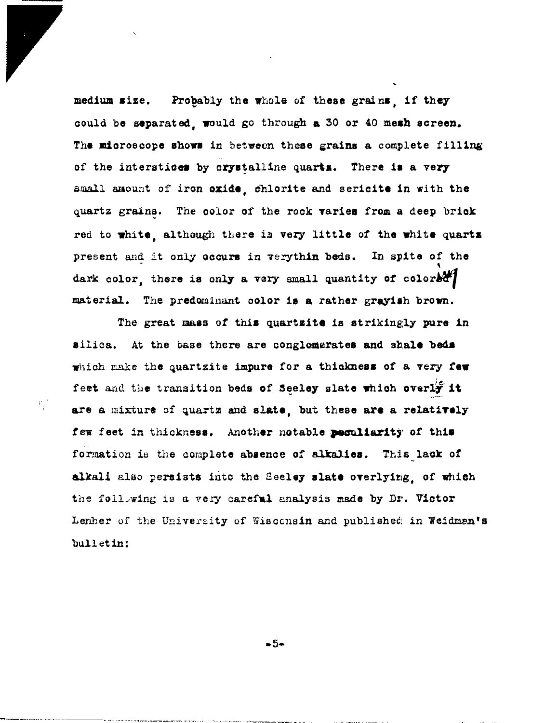Probably the whole of these grains, if they medium size. could be separated, would go through a 30 or 40 mesh screen. The microscope shows in between these grains a complete filling of the interstices by crystalline quarts. There is a very small amount of iron oxide, chlorite and sericite in with the quartz grains. The color of the rock varies from a deep brick red to white, although there is very little of the white quartz present and it only occurs in verythin beds. In spite of the dark color, there is only a very small quantity of color& material. The predominant color is a rather grayish brown.

The great mass of this quartzite is strikingly pure in silica. At the base there are conglomerates and shale beds which make the quartzite impure for a thickness of a very few feet and the transition beds of Seeley slate which overly it are a mixture of quartz and slate, but these are a relatively few feet in thickness. Another notable peculiarity of this formation is the complete absence of alkalies. This lack of alkali also persists into the Seeley slate overlying, of which the following is a very careful analysis made by Dr. Victor Lenher of the University of Wisconsin and published in Weidman's bulletin:

 $-5-$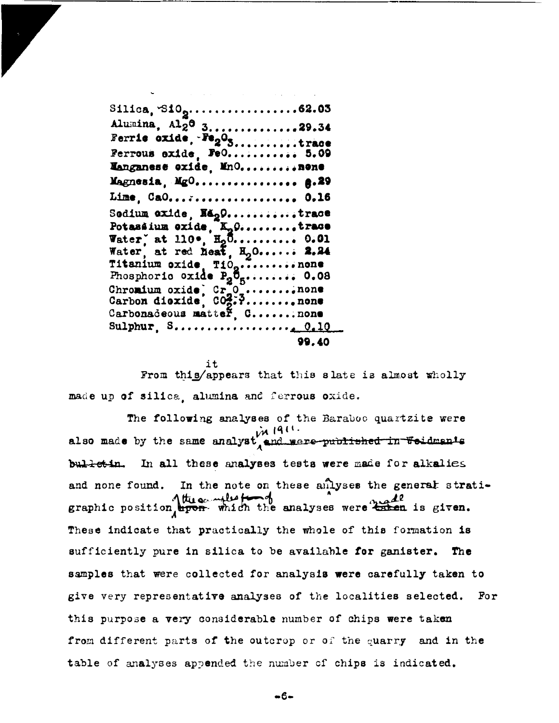Silica,  $S10_9...$ ...............62.03 Alumina, Al20 3..............29.34 Ferrie oxide,  $Fe<sub>2</sub>O<sub>3</sub>$ .........trace Ferrous exide, FeO........... 5.09 Manganese oxide, MnO..........nene Magnesia, MgO................ A.29 Lime, CaO...:................ 0.15 Sedium exide, Nágo...........trace Potassium oxide, K<sub>n</sub>0.........trace<br>Water, at 110°, H<sub>2</sub>0.......... 0.01 Water at red heat, H<sub>2</sub>0...... 2.24 Titanium oxide Tio<sub>g</sub>..........none<br>Phosphoric oxide P<sub>2</sub>O<sub>5</sub>......... 0.08<br>Chromium oxide, Cr<sub>2</sub>O<sub>2</sub>........none<br>Carbon dioxide, CO<sub>2</sub>.........none Carbonadeous matter, C....... none 99.40

From this/appears that this slate is almost wholly made up of silica, alumina and ferrous oxide.

The following analyses of the Baraboo quartzite were also made by the same analyst and were published in Weidman's bul-ret-in. In all these analyses tests were made for alkalies and none found. In the note on these anlyses the general stratigraphic position the enalyses were knea is given. These indicate that practically the whole of this formation is sufficiently pure in silica to be available for ganister. The samples that were collected for analysis were carefully taken to give very representative analyses of the localities selected. For this purpose a very considerable number of chips were taken from different parts of the outcrop or of the quarry and in the table of analyses appended the number of chips is indicated.

-6-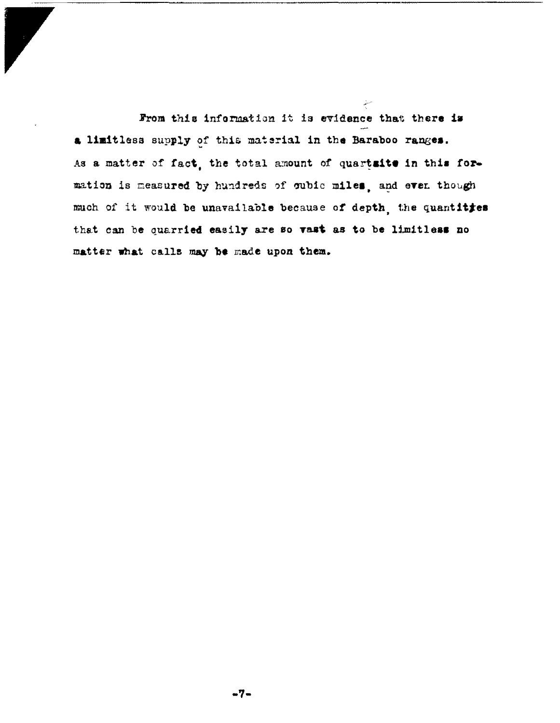From this information it is evidence that there is a limitless supply of this material in the Baraboo ranges. As a matter of fact, the total amount of quartaite in this formation is measured by hundreds of oubic miles, and even though much of it would be unavailable because of depth, the quantities that can be quarried easily are so vast as to be limitless no matter what calls may be made upon them.

 $\frac{1}{\sqrt{2}}e^{i\theta}$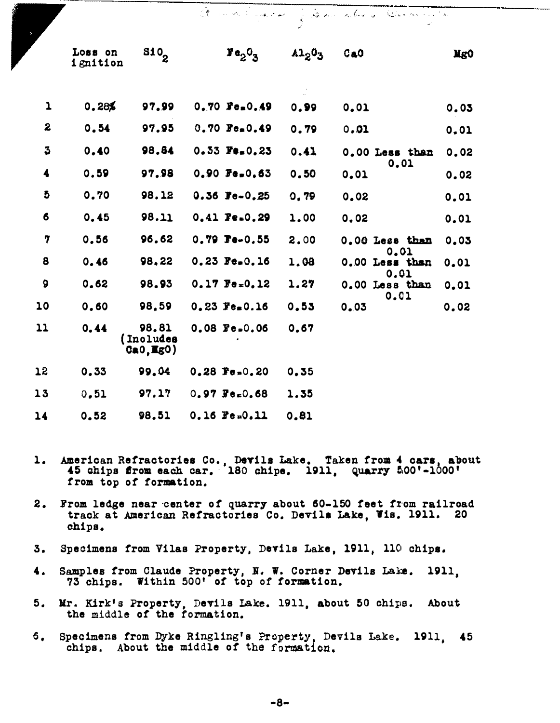|                      |                     |                                 |                                      | تحمد  |                        |      |
|----------------------|---------------------|---------------------------------|--------------------------------------|-------|------------------------|------|
|                      | Loss on<br>ignition | \$10,                           | $\mathbf{F}\mathbf{e}_2\mathbf{0}_3$ | A1203 | CaO                    | Mg0  |
| $\mathbf 1$          | 0.28%               | 97.99                           | $0.70$ Fe.0.49                       | 0.99  | 0.01                   | 0.03 |
| 2                    | 0.54                | 97.95                           | $0.70 \text{ Pe}_{\text{m}} 0.49$    | 0.79  | 0.01                   | 0,01 |
| $\boldsymbol{3}$     | 0.40                | 98.84                           | $0.53$ Fe.0.23                       | 0.41  | 0.00 Less than         | 0.02 |
| $\blacktriangleleft$ | 0.59                | 97.98                           | $0.90$ Fe.0.63                       | 0.50  | 0.01<br>0.01           | 0.02 |
| đ                    | 0.70                | 98.12                           | $0.36$ Fe-0.25                       | 0.79  | 0.02                   | 0.01 |
| 6                    | 0.45                | 98.11                           | $0.41$ Fe.0.29                       | 1,00  | 0,02                   | 0.01 |
| 7                    | 0.56                | 96.62                           | $0.79$ $Te-0.55$                     | 2.00  | 0.00 Less than         | 0.03 |
| 8                    | 0.46                | 98,22                           | $0.23$ Fe.0.16                       | 1.08  | 0.01<br>0.00 Less than | 0.01 |
| 9                    | 0.62                | 98.93                           | $0.17$ $Fe = 0.12$                   | 1.27  | 0.01<br>0.00 Less than | 0.01 |
| 10                   | 0.60                | 98.59                           | $0.23$ Fe.0.16                       | 0.53  | 0.01<br>0.03           | 0.02 |
| 11                   | 0.44                | 98.81<br>(Inoludes<br>CaO, EgO) | $0.08$ Fe=0.06                       | 0.67  |                        |      |
| 15                   | 0.33                | 99.04                           | $0.28$ Fe=0.20                       | 0.35  |                        |      |
| 13                   | 0.51                | 97.17                           | $0.97$ Fe=0.68                       | 1.35  |                        |      |
| 14                   | 0.52                | 98.51                           | $0.16$ Fe= $0.11$                    | 0.81  |                        |      |

Andre Court of Gaine who y Charles of

- American Refractories Co., Devils Lake. Taken from 4 cars, about 45 chips from each car. 180 chipe. 1911, Quarry 500'-1000'  $\mathbf{1}_{\bullet}$ from top of formation.
- $2.$ From ledge near center of quarry about 60-150 feet from railroad track at American Refractories Co. Devils Lake, Wis. 1911. 20 chips.
- Specimens from Vilas Property, Devils Lake, 1911, 110 chips. 3.
- Samples from Claude Property, N. W. Corner Devils Lake. 1911.  $\mathbf{4.}$ 73 chips. Within 500' of top of formation.
- Mr. Kirk's Property, Devils Lake. 1911, about 50 chips. About 5. the middle of the formation.
- Specimens from Dyke Ringling's Property, Devils Lake. 1911. 45 6. chips. About the middle of the formation.

 $-8-$